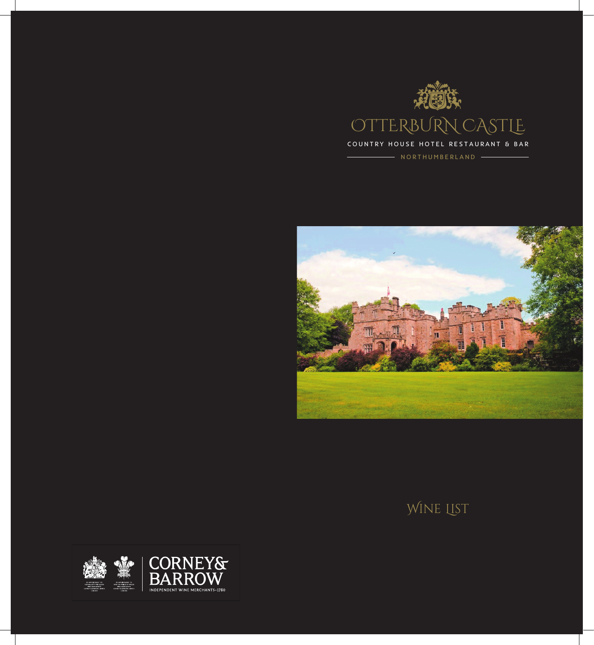

- NORTHUMBERLAND -



## WINE LIST